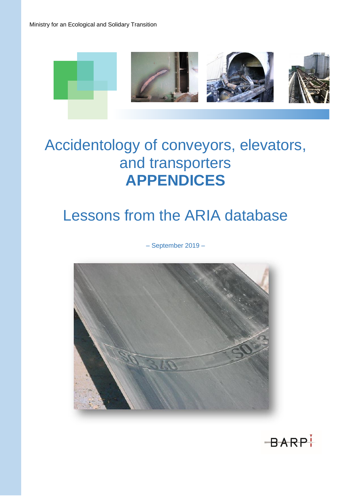

# Accidentology of conveyors, elevators, and transporters **APPENDICES**

## Lessons from the ARIA database

– September 2019 –



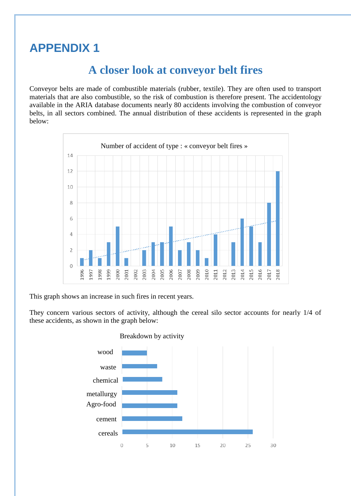## **APPENDIX 1**

### **A closer look at conveyor belt fires**

Conveyor belts are made of combustible materials (rubber, textile). They are often used to transport materials that are also combustible, so the risk of combustion is therefore present. The accidentology available in the ARIA database documents nearly 80 accidents involving the combustion of conveyor belts, in all sectors combined. The annual distribution of these accidents is represented in the graph below:



This graph shows an increase in such fires in recent years.

They concern various sectors of activity, although the cereal silo sector accounts for nearly 1/4 of these accidents, as shown in the graph below:



#### Breakdown by activity